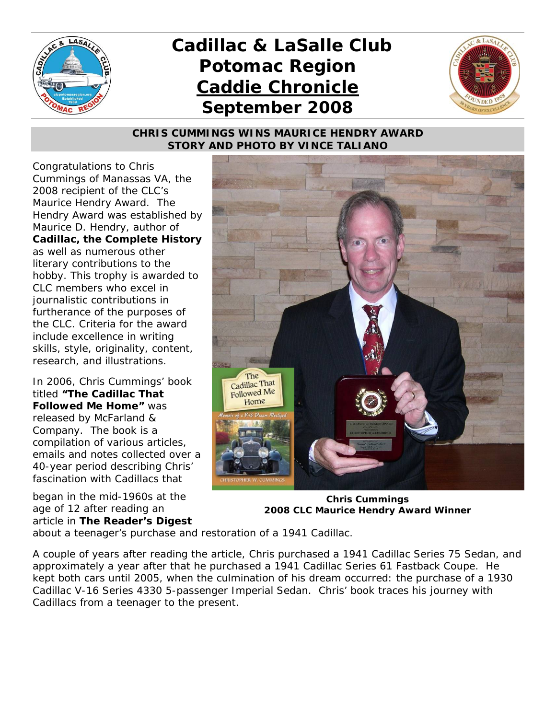

# *Cadillac & LaSalle Club Potomac Region Caddie Chronicle September 2008*



## *CHRIS CUMMINGS WINS MAURICE HENDRY AWARD STORY AND PHOTO BY VINCE TALIANO*

Congratulations to Chris Cummings of Manassas VA, the 2008 recipient of the CLC's Maurice Hendry Award. The Hendry Award was established by Maurice D. Hendry, author of *Cadillac, the Complete History*  as well as numerous other literary contributions to the hobby. This trophy is awarded to CLC members who excel in journalistic contributions in furtherance of the purposes of the CLC. Criteria for the award include excellence in writing skills, style, originality, content, research, and illustrations.

In 2006, Chris Cummings' book titled *"The Cadillac That Followed Me Home"* was released by McFarland & Company. The book is a compilation of various articles, emails and notes collected over a 40-year period describing Chris' fascination with Cadillacs that

began in the mid-1960s at the age of 12 after reading an article in *The Reader's Digest*



**Chris Cummings 2008 CLC Maurice Hendry Award Winner** 

about a teenager's purchase and restoration of a 1941 Cadillac.

A couple of years after reading the article, Chris purchased a 1941 Cadillac Series 75 Sedan, and approximately a year after that he purchased a 1941 Cadillac Series 61 Fastback Coupe. He kept both cars until 2005, when the culmination of his dream occurred: the purchase of a 1930 Cadillac V-16 Series 4330 5-passenger Imperial Sedan. Chris' book traces his journey with Cadillacs from a teenager to the present.